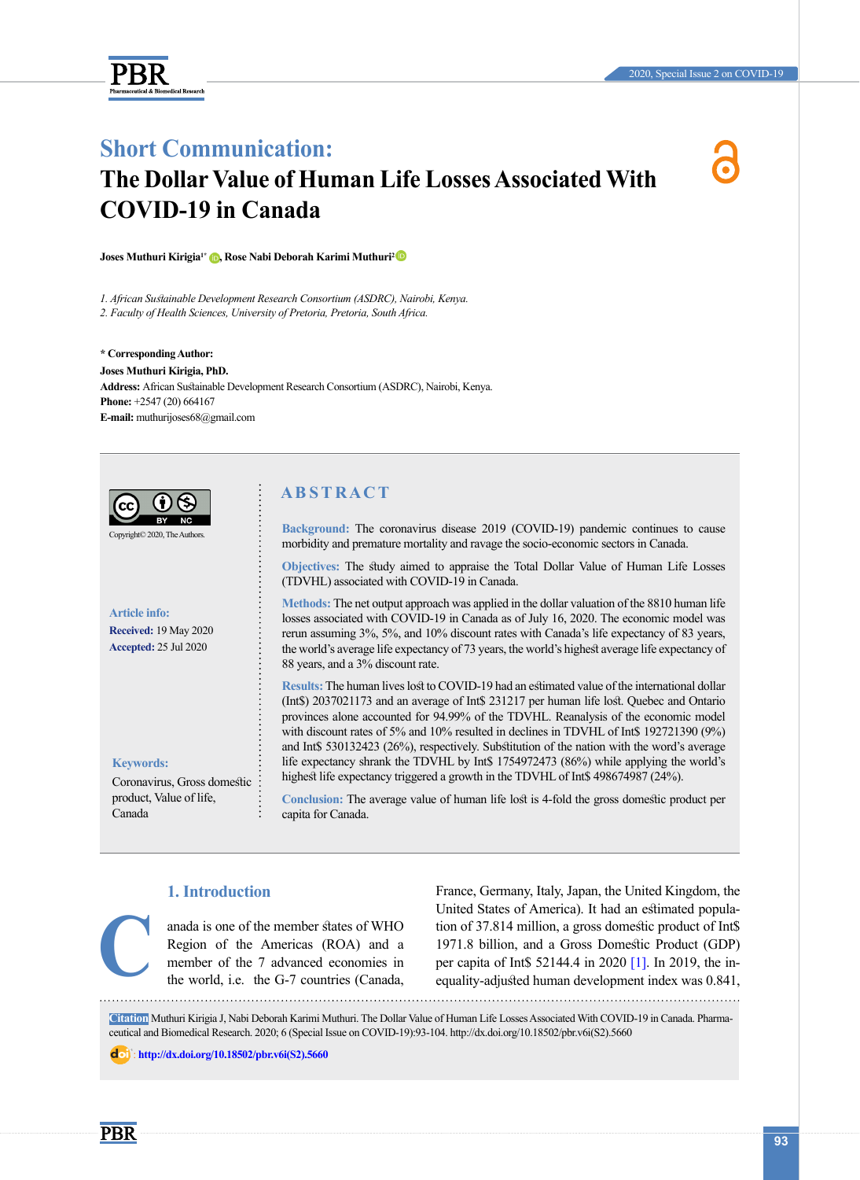

## **Short Communication:**

# **The Dollar Value of Human Life Losses Associated With COVID-19 in Canada**

**Joses Muthuri Kirigia1\* [,](https://orcid.org/0000-0002-2317-4666) Rose Nabi Deborah Karimi Muthuri[2](https://orcid.org/0000-0003-0353-8132)** 

*1. African Sustainable Development Research Consortium (ASDRC), Nairobi, Kenya. 2. Faculty of Health Sciences, University of Pretoria, Pretoria, South Africa.*

**\* Corresponding Author: Joses Muthuri Kirigia, PhD. Address:** African Sustainable Development Research Consortium (ASDRC), Nairobi, Kenya. **Phone:** +2547 (20) 664167 **E-mail:** [muthurijoses68@gmail.com](mailto:muthurijoses68@gmail.com)



Copyright© 2020, The Autho

**Article info: Received:** 19 May 2020 **Accepted:** 25 Jul 2020

**Keywords:**

Coronavirus, Gross domestic product, Value of life, Canada

## **A B S T R A C T**

**Background:** The coronavirus disease 2019 (COVID-19) pandemic continues to cause morbidity and premature mortality and ravage the socio-economic sectors in Canada.

**Objectives:** The study aimed to appraise the Total Dollar Value of Human Life Losses (TDVHL) associated with COVID-19 in Canada.

**Methods:** The net output approach was applied in the dollar valuation of the 8810 human life losses associated with COVID-19 in Canada as of July 16, 2020. The economic model was rerun assuming 3%, 5%, and 10% discount rates with Canada's life expectancy of 83 years, the world's average life expectancy of 73 years, the world's highest average life expectancy of 88 years, and a 3% discount rate.

**Results:** The human lives lost to COVID-19 had an estimated value of the international dollar (Int\$) 2037021173 and an average of Int\$ 231217 per human life lost. Quebec and Ontario provinces alone accounted for 94.99% of the TDVHL. Reanalysis of the economic model with discount rates of 5% and 10% resulted in declines in TDVHL of Int\$ 192721390 (9%) and Int\$ 530132423 (26%), respectively. Substitution of the nation with the word's average life expectancy shrank the TDVHL by Int\$ 1754972473 (86%) while applying the world's highest life expectancy triggered a growth in the TDVHL of Int\$ 498674987 (24%).

**Conclusion:** The average value of human life lost is 4-fold the gross domestic product per capita for Canada.

### **1. Introduction**

anada is one of the member states of WHO Region of the Americas (ROA) and a member of the 7 advanced economies in the world, i.e. the G-7 countries (Canada,

France, Germany, Italy, Japan, the United Kingdom, the United States of America). It had an estimated population of 37.814 million, a gross domestic product of Int\$ 1971.8 billion, and a Gross Domestic Product (GDP) anada is one of the member states of WHO<br>
Region of the Americas (ROA) and a 1971.8 billion, and a Gross Domestic Product (GDP)<br>
member of the 7 advanced economies in<br>
the world, i.e. the G-7 countries (Canada, equality-ad

**Citation** Muthuri Kirigia J, Nabi Deborah Karimi Muthuri. The Dollar Value of Human Life Losses Associated With COVID-19 in Canada. Pharmaceutical and Biomedical Research. 2020; 6 (Special Issue on COVID-19):93-104. http://dx.doi.org/10.18502/pbr.v6i(S2).5660

: **[http://dx.doi.org/10.18502/pbr.v6i\(S2\).5660](http://dx.doi.org/10.18502/pbr.v6i(S2).5660)**

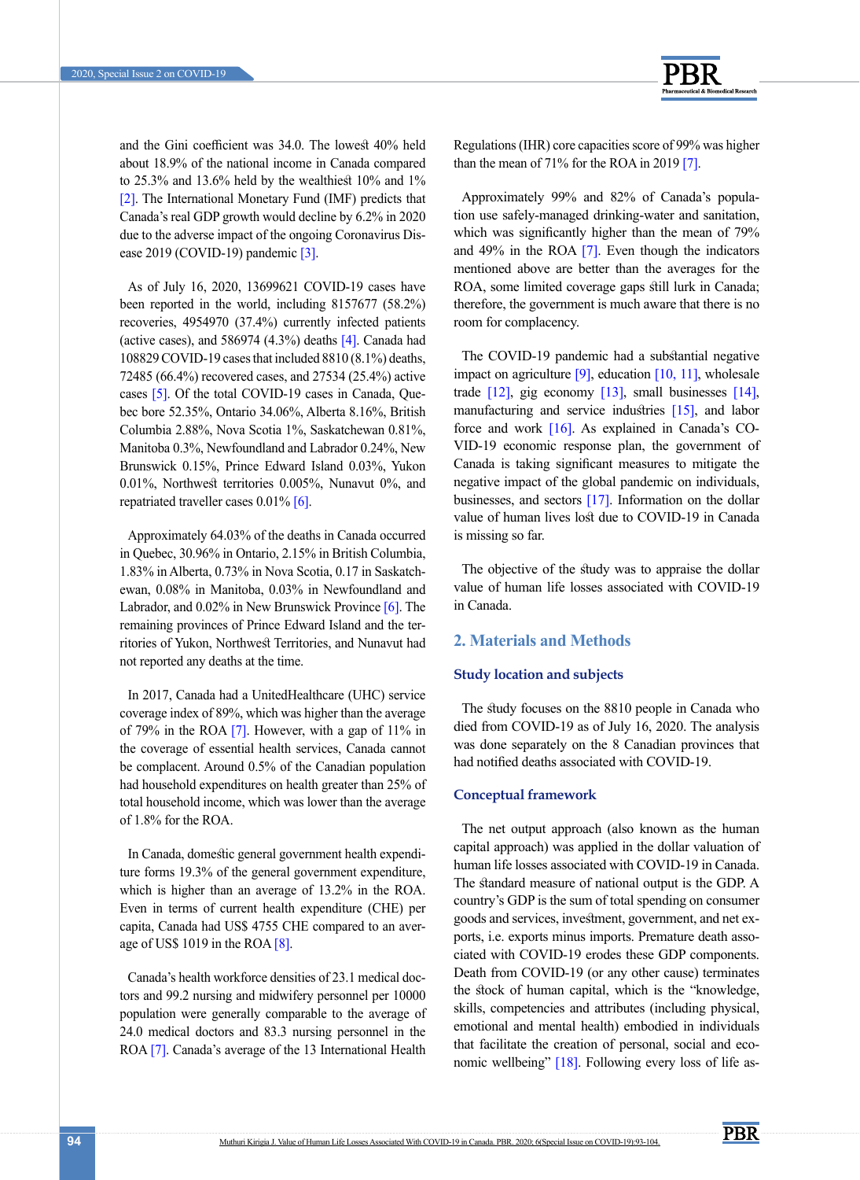

and the Gini coefficient was 34.0. The lowest 40% held about 18.9% of the national income in Canada compared to 25.3% and 13.6% held by the wealthiest 10% and 1% [\[2\].](#page-10-1) The International Monetary Fund (IMF) predicts that Canada's real GDP growth would decline by 6.2% in 2020 due to the adverse impact of the ongoing Coronavirus Dis-ease 2019 (COVID-19) pandemic [\[3\].](#page-10-2)

As of July 16, 2020, 13699621 COVID-19 cases have been reported in the world, including 8157677 (58.2%) recoveries, 4954970 (37.4%) currently infected patients (active cases), and  $586974$  (4.3%) deaths  $[4]$ . Canada had 108829 COVID-19 cases that included 8810 (8.1%) deaths, 72485 (66.4%) recovered cases, and 27534 (25.4%) active cases [5]. Of the total COVID-19 cases in Canada, Quebec bore 52.35%, Ontario 34.06%, Alberta 8.16%, British Columbia 2.88%, Nova Scotia 1%, Saskatchewan 0.81%, Manitoba 0.3%, Newfoundland and Labrador 0.24%, New Brunswick 0.15%, Prince Edward Island 0.03%, Yukon 0.01%, Northwest territories 0.005%, Nunavut 0%, and repatriated traveller cases  $0.01\%$  [\[6\]](#page-10-3).

Approximately 64.03% of the deaths in Canada occurred in Quebec, 30.96% in Ontario, 2.15% in British Columbia, 1.83% in Alberta, 0.73% in Nova Scotia, 0.17 in Saskatchewan, 0.08% in Manitoba, 0.03% in Newfoundland and Labrador, and 0.02% in New Brunswick Province [\[6\]](#page-10-3). The remaining provinces of Prince Edward Island and the territories of Yukon, Northwest Territories, and Nunavut had not reported any deaths at the time.

In 2017, Canada had a UnitedHealthcare (UHC) service coverage index of 89%, which was higher than the average of 79% in the ROA  $[7]$ . However, with a gap of 11% in the coverage of essential health services, Canada cannot be complacent. Around 0.5% of the Canadian population had household expenditures on health greater than 25% of total household income, which was lower than the average of 1.8% for the ROA.

In Canada, domestic general government health expenditure forms 19.3% of the general government expenditure, which is higher than an average of 13.2% in the ROA. Even in terms of current health expenditure (CHE) per capita, Canada had US\$ 4755 CHE compared to an average of US\$ 1019 in the ROA  $[8]$ .

Canada's health workforce densities of 23.1 medical doctors and 99.2 nursing and midwifery personnel per 10000 population were generally comparable to the average of 24.0 medical doctors and 83.3 nursing personnel in the ROA [7]. Canada's average of the 13 International Health Regulations (IHR) core capacities score of 99% was higher than the mean of 71% for the ROA in 2019 [7].

Approximately 99% and 82% of Canada's population use safely-managed drinking-water and sanitation, which was significantly higher than the mean of 79% and 49% in the ROA [7]. Even though the indicators mentioned above are better than the averages for the ROA, some limited coverage gaps still lurk in Canada; therefore, the government is much aware that there is no room for complacency.

The COVID-19 pandemic had a substantial negative impact on agriculture  $[9]$ , education  $[10, 11]$ , wholesale trade  $[12]$ , gig economy  $[13]$ , small businesses  $[14]$ , manufacturing and service industries [\[15\],](#page-10-9) and labor force and work [\[16\]](#page-10-10). As explained in Canada's CO-VID-19 economic response plan, the government of Canada is taking significant measures to mitigate the negative impact of the global pandemic on individuals, businesses, and sectors [\[17\]](#page-10-3). Information on the dollar value of human lives lost due to COVID-19 in Canada is missing so far.

The objective of the study was to appraise the dollar value of human life losses associated with COVID-19 in Canada.

### **2. Materials and Methods**

### **Study location and subjects**

The study focuses on the 8810 people in Canada who died from COVID-19 as of July 16, 2020. The analysis was done separately on the 8 Canadian provinces that had notified deaths associated with COVID-19.

### **Conceptual framework**

The net output approach (also known as the human capital approach) was applied in the dollar valuation of human life losses associated with COVID-19 in Canada. The standard measure of national output is the GDP. A country's GDP is the sum of total spending on consumer goods and services, investment, government, and net exports, i.e. exports minus imports. Premature death associated with COVID-19 erodes these GDP components. Death from COVID-19 (or any other cause) terminates the stock of human capital, which is the "knowledge, skills, competencies and attributes (including physical, emotional and mental health) embodied in individuals that facilitate the creation of personal, social and economic wellbeing" [\[18\].](#page-10-11) Following every loss of life as-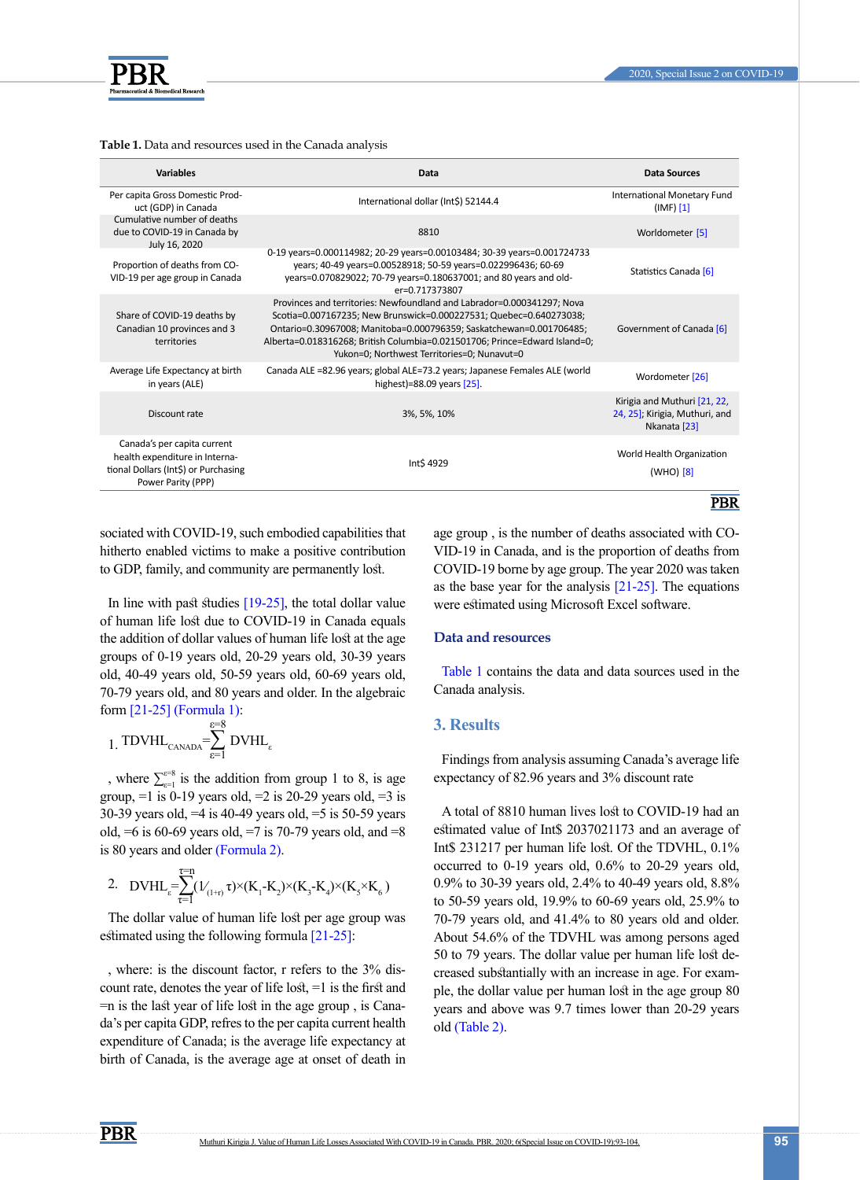

#### <span id="page-2-2"></span>**Table 1.** Data and resources used in the Canada analysis

| <b>Variables</b>                                                                                                            | Data                                                                                                                                                                                                                                                                                                                                             | Data Sources                                                                   |
|-----------------------------------------------------------------------------------------------------------------------------|--------------------------------------------------------------------------------------------------------------------------------------------------------------------------------------------------------------------------------------------------------------------------------------------------------------------------------------------------|--------------------------------------------------------------------------------|
| Per capita Gross Domestic Prod-<br>uct (GDP) in Canada                                                                      | International dollar (Int\$) 52144.4                                                                                                                                                                                                                                                                                                             | International Monetary Fund<br>(IMF) [1]                                       |
| Cumulative number of deaths<br>due to COVID-19 in Canada by<br>July 16, 2020                                                | 8810                                                                                                                                                                                                                                                                                                                                             | Worldometer [5]                                                                |
| Proportion of deaths from CO-<br>VID-19 per age group in Canada                                                             | 0-19 years=0.000114982; 20-29 years=0.00103484; 30-39 years=0.001724733<br>years; 40-49 years=0.00528918; 50-59 years=0.022996436; 60-69<br>years=0.070829022; 70-79 years=0.180637001; and 80 years and old-<br>er=0.717373807                                                                                                                  | Statistics Canada [6]                                                          |
| Share of COVID-19 deaths by<br>Canadian 10 provinces and 3<br>territories                                                   | Provinces and territories: Newfoundland and Labrador=0.000341297; Nova<br>Scotia=0.007167235; New Brunswick=0.000227531; Quebec=0.640273038;<br>Ontario=0.30967008; Manitoba=0.000796359; Saskatchewan=0.001706485;<br>Alberta=0.018316268; British Columbia=0.021501706; Prince=Edward Island=0;<br>Yukon=0: Northwest Territories=0: Nunavut=0 | Government of Canada [6]                                                       |
| Average Life Expectancy at birth<br>in years (ALE)                                                                          | Canada ALE =82.96 years; global ALE=73.2 years; Japanese Females ALE (world<br>highest)=88.09 years [25].                                                                                                                                                                                                                                        | Wordometer [26]                                                                |
| Discount rate                                                                                                               | 3%, 5%, 10%                                                                                                                                                                                                                                                                                                                                      | Kirigia and Muthuri [21, 22,<br>24, 25]; Kirigia, Muthuri, and<br>Nkanata [23] |
| Canada's per capita current<br>health expenditure in Interna-<br>tional Dollars (Int\$) or Purchasing<br>Power Parity (PPP) | Int\$ 4929                                                                                                                                                                                                                                                                                                                                       | World Health Organization<br>$(WHO)$ [8]                                       |
|                                                                                                                             |                                                                                                                                                                                                                                                                                                                                                  | PBR                                                                            |

sociated with COVID-19, such embodied capabilities that hitherto enabled victims to make a positive contribution to GDP, family, and community are permanently lost.

In line with past studies [19-25], the total dollar value of human life lost due to COVID-19 in Canada equals the addition of dollar values of human life lost at the age groups of 0-19 years old, 20-29 years old, 30-39 years old, 40-49 years old, 50-59 years old, 60-69 years old, 70-79 years old, and 80 years and older. In the algebraic form [\[21-25\]](#page-10-12) [\(Formula 1\)](#page-2-0):

<span id="page-2-0"></span>
$$
\hspace{-0.1cm} 1. \hspace{0.1cm} \text{TDVHL}_{\text{canada}}\hspace{-0.1cm} = \hspace{-0.1cm} \sum_{\epsilon=1}^{\epsilon=8} \text{DVHL}_{\epsilon}
$$

, where  $\sum_{\epsilon=1}^{\epsilon=8}$  is the addition from group 1 to 8, is age group,  $=1$  is 0-19 years old,  $=2$  is 20-29 years old,  $=3$  is 30-39 years old, =4 is 40-49 years old, =5 is 50-59 years old,  $=6$  is 60-69 years old,  $=7$  is 70-79 years old, and  $=8$ is 80 years and older [\(Formula 2\)](#page-2-1).

<span id="page-2-1"></span>
$$
2.\quad DVHL_{\epsilon}\!\!=\!\!\!\sum_{\tau=1}^{T\!=\!n}(\mathcal{V}_{_{(1+\tau)}}\tau)^\times(K_{_{1}}\!\cdot\!K_{_{2}})\!\times\!(K_{_{3}}\!\cdot\!K_{_{4}})\!\times\!(K_{_{5}}\!\times\!K_{_{6}})
$$

The dollar value of human life lost per age group was estimated using the following formula [\[21-25\]](#page-10-12):

, where: is the discount factor, r refers to the 3% discount rate, denotes the year of life lost, =1 is the first and =n is the last year of life lost in the age group , is Canada's per capita GDP, refres to the per capita current health expenditure of Canada; is the average life expectancy at birth of Canada, is the average age at onset of death in age group , is the number of deaths associated with CO-VID-19 in Canada, and is the proportion of deaths from COVID-19 borne by age group. The year 2020 was taken as the base year for the analysis [\[21-25\]](#page-10-12). The equations were estimated using Microsoft Excel software.

### **Data and resources**

[Table 1](#page-2-2) contains the data and data sources used in the Canada analysis.

### **3. Results**

Findings from analysis assuming Canada's average life expectancy of 82.96 years and 3% discount rate

A total of 8810 human lives lost to COVID-19 had an estimated value of Int\$ 2037021173 and an average of Int\$ 231217 per human life lost. Of the TDVHL, 0.1% occurred to 0-19 years old, 0.6% to 20-29 years old, 0.9% to 30-39 years old, 2.4% to 40-49 years old, 8.8% to 50-59 years old, 19.9% to 60-69 years old, 25.9% to 70-79 years old, and 41.4% to 80 years old and older. About 54.6% of the TDVHL was among persons aged 50 to 79 years. The dollar value per human life lost decreased substantially with an increase in age. For example, the dollar value per human lost in the age group 80 years and above was 9.7 times lower than 20-29 years old [\(Table 2\)](#page-3-0).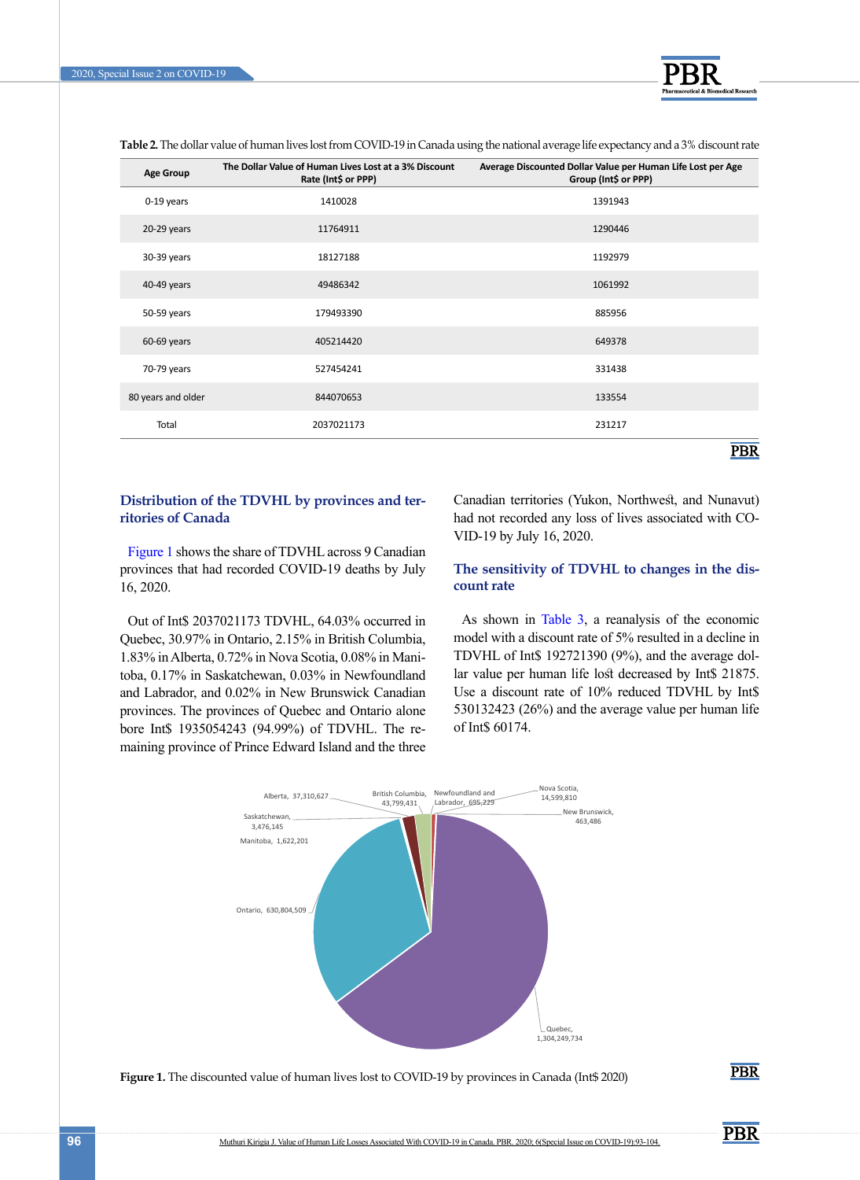

<span id="page-3-0"></span>**Table 2.** The dollar value of human lives lost from COVID-19 in Canada using the national average life expectancy and a 3% discount rate

| <b>Age Group</b>   | The Dollar Value of Human Lives Lost at a 3% Discount<br>Rate (Int\$ or PPP) | Average Discounted Dollar Value per Human Life Lost per Age<br>Group (Int\$ or PPP) |
|--------------------|------------------------------------------------------------------------------|-------------------------------------------------------------------------------------|
| $0-19$ years       | 1410028                                                                      | 1391943                                                                             |
| 20-29 years        | 11764911                                                                     | 1290446                                                                             |
| 30-39 years        | 18127188                                                                     | 1192979                                                                             |
| 40-49 years        | 49486342                                                                     | 1061992                                                                             |
| 50-59 years        | 179493390                                                                    | 885956                                                                              |
| 60-69 years        | 405214420                                                                    | 649378                                                                              |
| 70-79 years        | 527454241                                                                    | 331438                                                                              |
| 80 years and older | 844070653                                                                    | 133554                                                                              |
| Total              | 2037021173                                                                   | 231217                                                                              |
|                    |                                                                              | <b>PBR</b>                                                                          |

### **Distribution of the TDVHL by provinces and territories of Canada**

[Figure 1](#page-3-1) shows the share of TDVHL across 9 Canadian provinces that had recorded COVID-19 deaths by July 16, 2020.

Out of Int\$ 2037021173 TDVHL, 64.03% occurred in Quebec, 30.97% in Ontario, 2.15% in British Columbia, 1.83% in Alberta, 0.72% in Nova Scotia, 0.08% in Manitoba, 0.17% in Saskatchewan, 0.03% in Newfoundland and Labrador, and 0.02% in New Brunswick Canadian provinces. The provinces of Quebec and Ontario alone bore Int\$ 1935054243 (94.99%) of TDVHL. The remaining province of Prince Edward Island and the three Canadian territories (Yukon, Northwest, and Nunavut) had not recorded any loss of lives associated with CO-VID-19 by July 16, 2020.

### **The sensitivity of TDVHL to changes in the discount rate**

As shown in [Table 3](#page-4-0), a reanalysis of the economic model with a discount rate of 5% resulted in a decline in TDVHL of Int\$ 192721390 (9%), and the average dollar value per human life lost decreased by Int\$ 21875. Use a discount rate of 10% reduced TDVHL by Int\$ 530132423 (26%) and the average value per human life of Int\$ 60174.



<span id="page-3-1"></span>Figure 1. The discounted value of human lives lost to COVID-19 by provinces in Canada (Int\$ 2020)

**PBR** 

**PBR** 

. . . . . . . . . . . .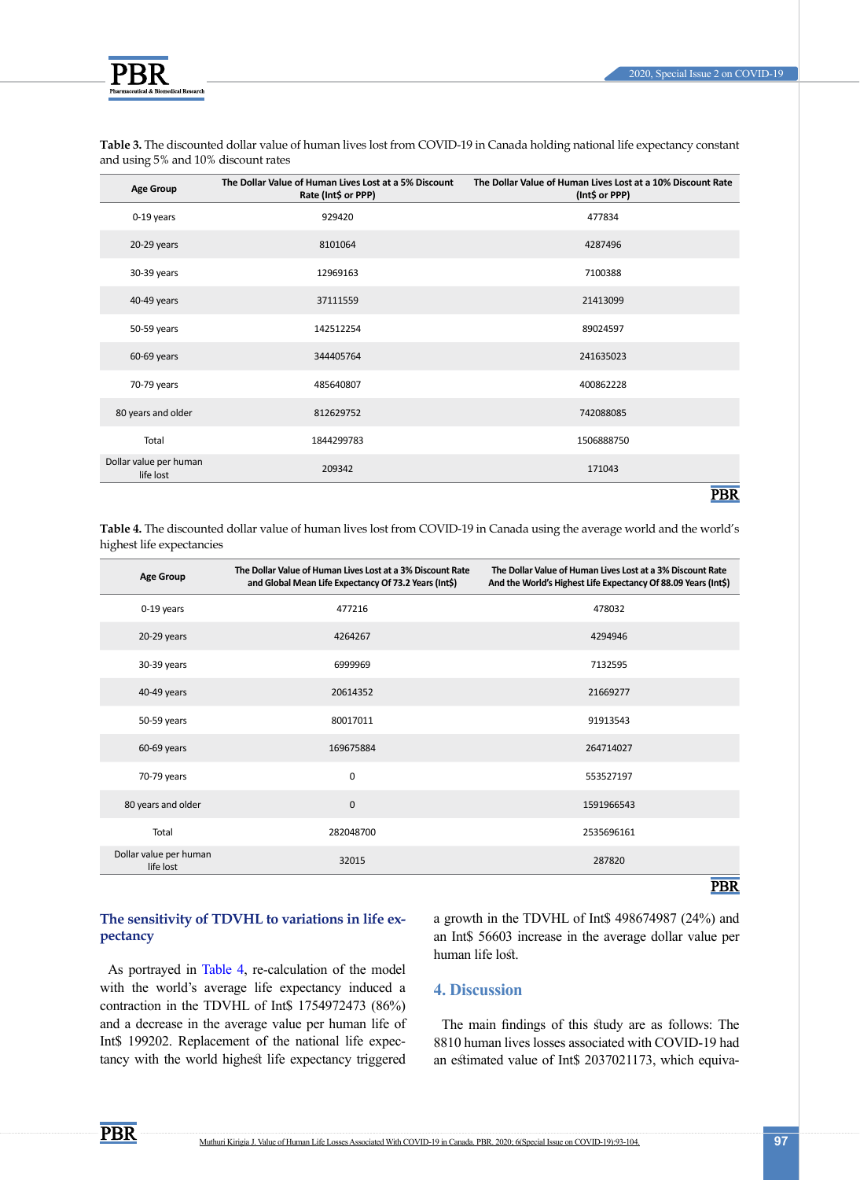

| <b>Age Group</b>                    | The Dollar Value of Human Lives Lost at a 5% Discount<br>Rate (Int\$ or PPP) | The Dollar Value of Human Lives Lost at a 10% Discount Rate<br>(Int\$ or PPP) |
|-------------------------------------|------------------------------------------------------------------------------|-------------------------------------------------------------------------------|
| 0-19 years                          | 929420                                                                       | 477834                                                                        |
| 20-29 years                         | 8101064                                                                      | 4287496                                                                       |
| 30-39 years                         | 12969163                                                                     | 7100388                                                                       |
| 40-49 years                         | 37111559                                                                     | 21413099                                                                      |
| 50-59 years                         | 142512254                                                                    | 89024597                                                                      |
| 60-69 years                         | 344405764                                                                    | 241635023                                                                     |
| 70-79 years                         | 485640807                                                                    | 400862228                                                                     |
| 80 years and older                  | 812629752                                                                    | 742088085                                                                     |
| Total                               | 1844299783                                                                   | 1506888750                                                                    |
| Dollar value per human<br>life lost | 209342                                                                       | 171043                                                                        |
|                                     |                                                                              | <b>PBR</b>                                                                    |

<span id="page-4-0"></span>**Table 3.** The discounted dollar value of human lives lost from COVID-19 in Canada holding national life expectancy constant and using 5% and 10% discount rates

**Table 4.** The discounted dollar value of human lives lost from COVID-19 in Canada using the average world and the world's highest life expectancies

| <b>Age Group</b>                    | The Dollar Value of Human Lives Lost at a 3% Discount Rate<br>and Global Mean Life Expectancy Of 73.2 Years (Int\$) | The Dollar Value of Human Lives Lost at a 3% Discount Rate<br>And the World's Highest Life Expectancy Of 88.09 Years (Int\$) |
|-------------------------------------|---------------------------------------------------------------------------------------------------------------------|------------------------------------------------------------------------------------------------------------------------------|
| 0-19 years                          | 477216                                                                                                              | 478032                                                                                                                       |
| 20-29 years                         | 4264267                                                                                                             | 4294946                                                                                                                      |
| 30-39 years                         | 6999969                                                                                                             | 7132595                                                                                                                      |
| 40-49 years                         | 20614352                                                                                                            | 21669277                                                                                                                     |
| 50-59 years                         | 80017011                                                                                                            | 91913543                                                                                                                     |
| 60-69 years                         | 169675884                                                                                                           | 264714027                                                                                                                    |
| 70-79 years                         | $\mathbf 0$                                                                                                         | 553527197                                                                                                                    |
| 80 years and older                  | $\mathbf 0$                                                                                                         | 1591966543                                                                                                                   |
| Total                               | 282048700                                                                                                           | 2535696161                                                                                                                   |
| Dollar value per human<br>life lost | 32015                                                                                                               | 287820                                                                                                                       |
|                                     |                                                                                                                     | <b>PBR</b>                                                                                                                   |

### **The sensitivity of TDVHL to variations in life expectancy**

As portrayed in Table 4, re-calculation of the model with the world's average life expectancy induced a contraction in the TDVHL of Int\$ 1754972473 (86%) and a decrease in the average value per human life of Int\$ 199202. Replacement of the national life expectancy with the world highest life expectancy triggered

a growth in the TDVHL of Int\$ 498674987 (24%) and an Int\$ 56603 increase in the average dollar value per human life lost.

### **4. Discussion**

The main findings of this study are as follows: The 8810 human lives losses associated with COVID-19 had an estimated value of Int\$ 2037021173, which equiva-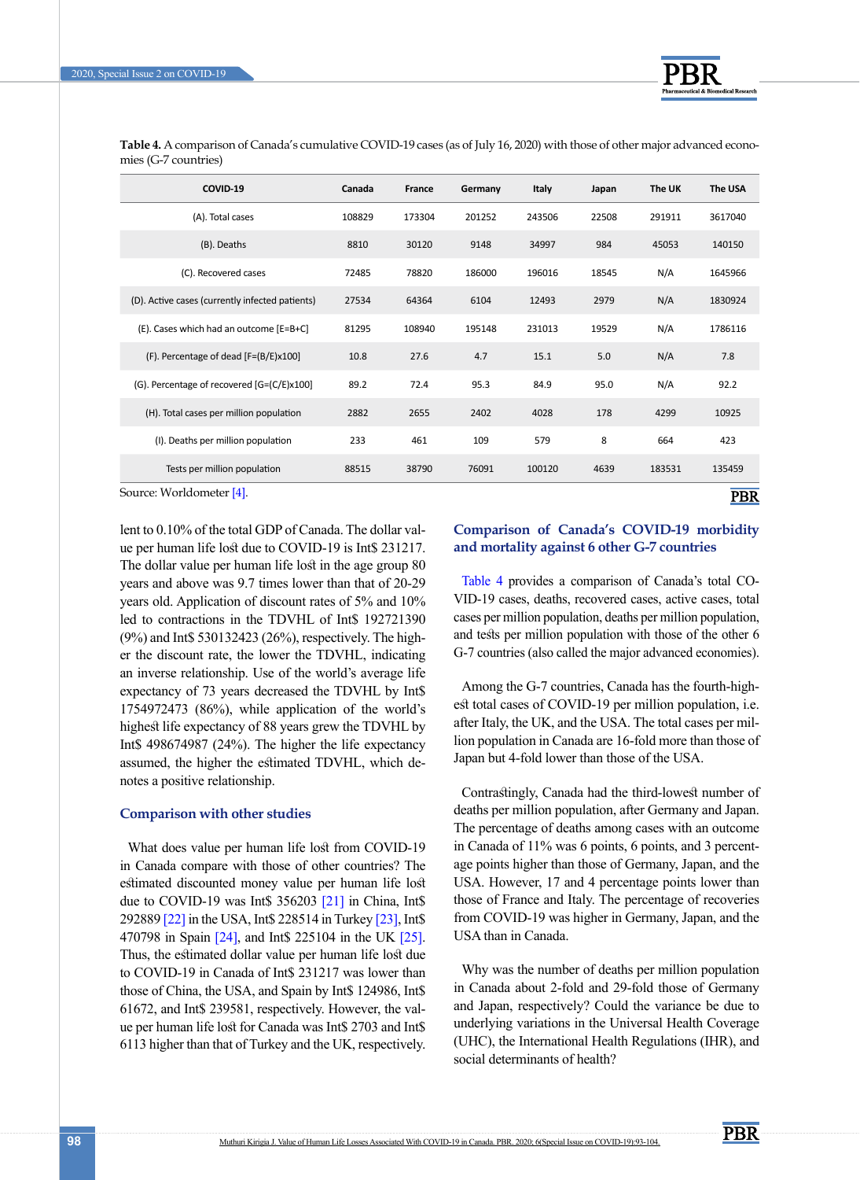

**Table 4.** A comparison of Canada's cumulative COVID-19 cases (as of July 16, 2020) with those of other major advanced economies (G-7 countries)

| COVID-19                                        | Canada | France | Germany | Italy  | Japan | The UK | The USA    |
|-------------------------------------------------|--------|--------|---------|--------|-------|--------|------------|
| (A). Total cases                                | 108829 | 173304 | 201252  | 243506 | 22508 | 291911 | 3617040    |
| (B). Deaths                                     | 8810   | 30120  | 9148    | 34997  | 984   | 45053  | 140150     |
| (C). Recovered cases                            | 72485  | 78820  | 186000  | 196016 | 18545 | N/A    | 1645966    |
| (D). Active cases (currently infected patients) | 27534  | 64364  | 6104    | 12493  | 2979  | N/A    | 1830924    |
| (E). Cases which had an outcome [E=B+C]         | 81295  | 108940 | 195148  | 231013 | 19529 | N/A    | 1786116    |
| (F). Percentage of dead [F=(B/E)x100]           | 10.8   | 27.6   | 4.7     | 15.1   | 5.0   | N/A    | 7.8        |
| (G). Percentage of recovered [G=(C/E)x100]      | 89.2   | 72.4   | 95.3    | 84.9   | 95.0  | N/A    | 92.2       |
| (H). Total cases per million population         | 2882   | 2655   | 2402    | 4028   | 178   | 4299   | 10925      |
| (I). Deaths per million population              | 233    | 461    | 109     | 579    | 8     | 664    | 423        |
| Tests per million population                    | 88515  | 38790  | 76091   | 100120 | 4639  | 183531 | 135459     |
| Source: Worldometer [4].                        |        |        |         |        |       |        | <b>PBR</b> |

lent to 0.10% of the total GDP of Canada. The dollar value per human life lost due to COVID-19 is Int\$ 231217. The dollar value per human life lost in the age group 80 years and above was 9.7 times lower than that of 20-29 years old. Application of discount rates of 5% and 10% led to contractions in the TDVHL of Int\$ 192721390 (9%) and Int\$ 530132423 (26%), respectively. The higher the discount rate, the lower the TDVHL, indicating an inverse relationship. Use of the world's average life expectancy of 73 years decreased the TDVHL by Int\$ 1754972473 (86%), while application of the world's highest life expectancy of 88 years grew the TDVHL by Int\$ 498674987 (24%). The higher the life expectancy assumed, the higher the estimated TDVHL, which denotes a positive relationship.

### **Comparison with other studies**

What does value per human life lost from COVID-19 in Canada compare with those of other countries? The estimated discounted money value per human life lost due to COVID-19 was Int\$ 356203 [\[21\]](#page-10-12) in China, Int\$ 292889 [\[22\]](#page-10-14) in the USA, Int\$ 228514 in Turkey [\[23\]](#page-10-16), Int\$ 470798 in Spain [\[24\]](#page-10-15), and Int\$ 225104 in the UK [\[25\]](#page-10-13). Thus, the estimated dollar value per human life lost due to COVID-19 in Canada of Int\$ 231217 was lower than those of China, the USA, and Spain by Int\$ 124986, Int\$ 61672, and Int\$ 239581, respectively. However, the value per human life lost for Canada was Int\$ 2703 and Int\$ 6113 higher than that of Turkey and the UK, respectively.

### **Comparison of Canada's COVID-19 morbidity and mortality against 6 other G-7 countries**

Table 4 provides a comparison of Canada's total CO-VID-19 cases, deaths, recovered cases, active cases, total cases per million population, deaths per million population, and tests per million population with those of the other 6 G-7 countries (also called the major advanced economies).

Among the G-7 countries, Canada has the fourth-highest total cases of COVID-19 per million population, i.e. after Italy, the UK, and the USA. The total cases per million population in Canada are 16-fold more than those of Japan but 4-fold lower than those of the USA.

Contrastingly, Canada had the third-lowest number of deaths per million population, after Germany and Japan. The percentage of deaths among cases with an outcome in Canada of 11% was 6 points, 6 points, and 3 percentage points higher than those of Germany, Japan, and the USA. However, 17 and 4 percentage points lower than those of France and Italy. The percentage of recoveries from COVID-19 was higher in Germany, Japan, and the USA than in Canada.

Why was the number of deaths per million population in Canada about 2-fold and 29-fold those of Germany and Japan, respectively? Could the variance be due to underlying variations in the Universal Health Coverage (UHC), the International Health Regulations (IHR), and social determinants of health?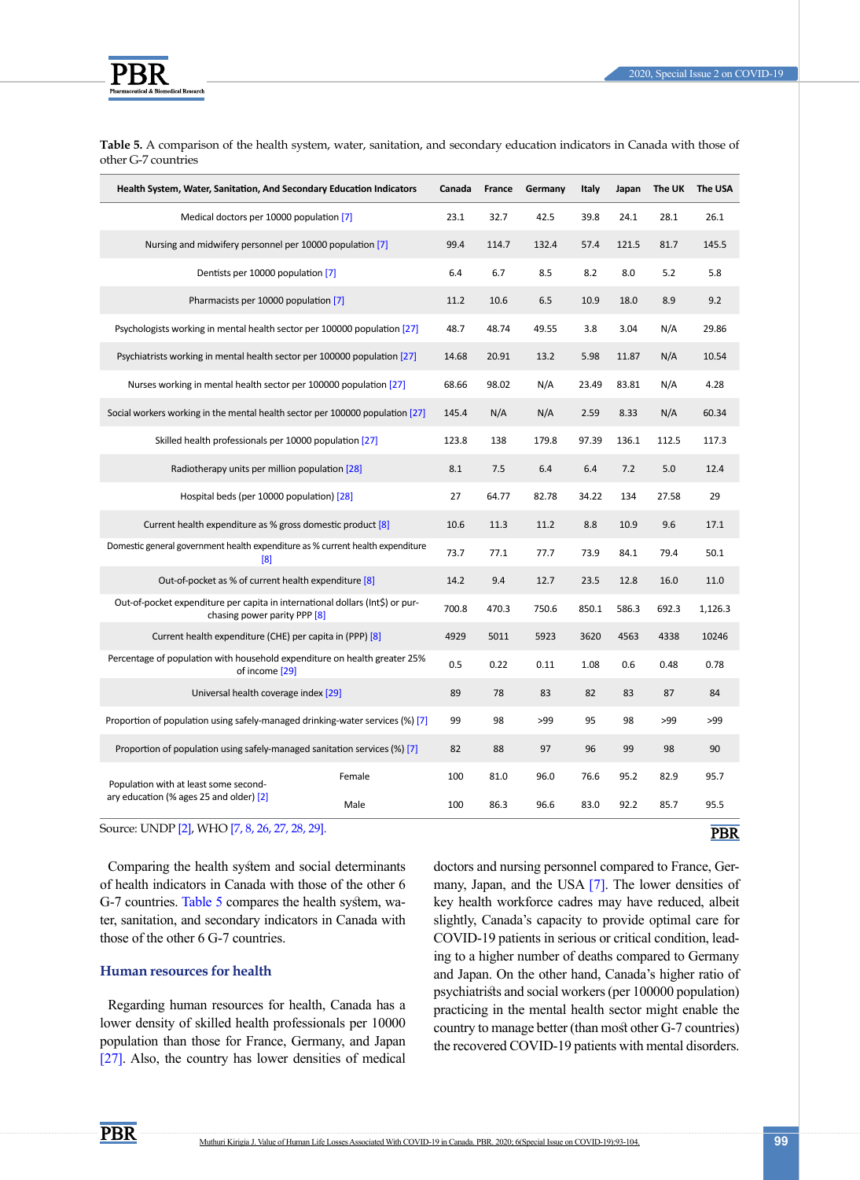

<span id="page-6-0"></span>**Table 5.** A comparison of the health system, water, sanitation, and secondary education indicators in Canada with those of other G-7 countries

| Health System, Water, Sanitation, And Secondary Education Indicators                                          |        | Canada | France | Germany | Italy | Japan | The UK | The USA    |
|---------------------------------------------------------------------------------------------------------------|--------|--------|--------|---------|-------|-------|--------|------------|
| Medical doctors per 10000 population [7]                                                                      |        | 23.1   | 32.7   | 42.5    | 39.8  | 24.1  | 28.1   | 26.1       |
| Nursing and midwifery personnel per 10000 population [7]                                                      |        | 99.4   | 114.7  | 132.4   | 57.4  | 121.5 | 81.7   | 145.5      |
| Dentists per 10000 population [7]                                                                             |        | 6.4    | 6.7    | 8.5     | 8.2   | 8.0   | 5.2    | 5.8        |
| Pharmacists per 10000 population [7]                                                                          |        | 11.2   | 10.6   | 6.5     | 10.9  | 18.0  | 8.9    | 9.2        |
| Psychologists working in mental health sector per 100000 population [27]                                      |        | 48.7   | 48.74  | 49.55   | 3.8   | 3.04  | N/A    | 29.86      |
| Psychiatrists working in mental health sector per 100000 population [27]                                      |        | 14.68  | 20.91  | 13.2    | 5.98  | 11.87 | N/A    | 10.54      |
| Nurses working in mental health sector per 100000 population [27]                                             |        | 68.66  | 98.02  | N/A     | 23.49 | 83.81 | N/A    | 4.28       |
| Social workers working in the mental health sector per 100000 population [27]                                 |        | 145.4  | N/A    | N/A     | 2.59  | 8.33  | N/A    | 60.34      |
| Skilled health professionals per 10000 population [27]                                                        |        | 123.8  | 138    | 179.8   | 97.39 | 136.1 | 112.5  | 117.3      |
| Radiotherapy units per million population [28]                                                                |        | 8.1    | 7.5    | 6.4     | 6.4   | 7.2   | 5.0    | 12.4       |
| Hospital beds (per 10000 population) [28]                                                                     |        | 27     | 64.77  | 82.78   | 34.22 | 134   | 27.58  | 29         |
| Current health expenditure as % gross domestic product [8]                                                    |        | 10.6   | 11.3   | 11.2    | 8.8   | 10.9  | 9.6    | 17.1       |
| Domestic general government health expenditure as % current health expenditure<br>[8]                         |        | 73.7   | 77.1   | 77.7    | 73.9  | 84.1  | 79.4   | 50.1       |
| Out-of-pocket as % of current health expenditure [8]                                                          |        | 14.2   | 9.4    | 12.7    | 23.5  | 12.8  | 16.0   | 11.0       |
| Out-of-pocket expenditure per capita in international dollars (Int\$) or pur-<br>chasing power parity PPP [8] |        | 700.8  | 470.3  | 750.6   | 850.1 | 586.3 | 692.3  | 1,126.3    |
| Current health expenditure (CHE) per capita in (PPP) [8]                                                      |        | 4929   | 5011   | 5923    | 3620  | 4563  | 4338   | 10246      |
| Percentage of population with household expenditure on health greater 25%<br>of income [29]                   |        | 0.5    | 0.22   | 0.11    | 1.08  | 0.6   | 0.48   | 0.78       |
| Universal health coverage index [29]                                                                          |        | 89     | 78     | 83      | 82    | 83    | 87     | 84         |
| Proportion of population using safely-managed drinking-water services (%) [7]                                 |        | 99     | 98     | >99     | 95    | 98    | >99    | >99        |
| Proportion of population using safely-managed sanitation services (%) [7]                                     |        | 82     | 88     | 97      | 96    | 99    | 98     | 90         |
| Population with at least some second-                                                                         | Female | 100    | 81.0   | 96.0    | 76.6  | 95.2  | 82.9   | 95.7       |
| ary education (% ages 25 and older) [2]                                                                       | Male   | 100    | 86.3   | 96.6    | 83.0  | 92.2  | 85.7   | 95.5       |
| Source: UNDP [2], WHO [7, 8, 26, 27, 28, 29].                                                                 |        |        |        |         |       |       |        | <b>PBR</b> |

Comparing the health system and social determinants of health indicators in Canada with those of the other 6 G-7 countries. [Table 5](#page-6-0) compares the health system, water, sanitation, and secondary indicators in Canada with those of the other 6 G-7 countries.

### **Human resources for health**

Regarding human resources for health, Canada has a lower density of skilled health professionals per 10000 population than those for France, Germany, and Japan [27]. Also, the country has lower densities of medical

doctors and nursing personnel compared to France, Germany, Japan, and the USA [7]. The lower densities of key health workforce cadres may have reduced, albeit slightly, Canada's capacity to provide optimal care for COVID-19 patients in serious or critical condition, leading to a higher number of deaths compared to Germany and Japan. On the other hand, Canada's higher ratio of psychiatrists and social workers (per 100000 population) practicing in the mental health sector might enable the country to manage better (than most other G-7 countries) the recovered COVID-19 patients with mental disorders.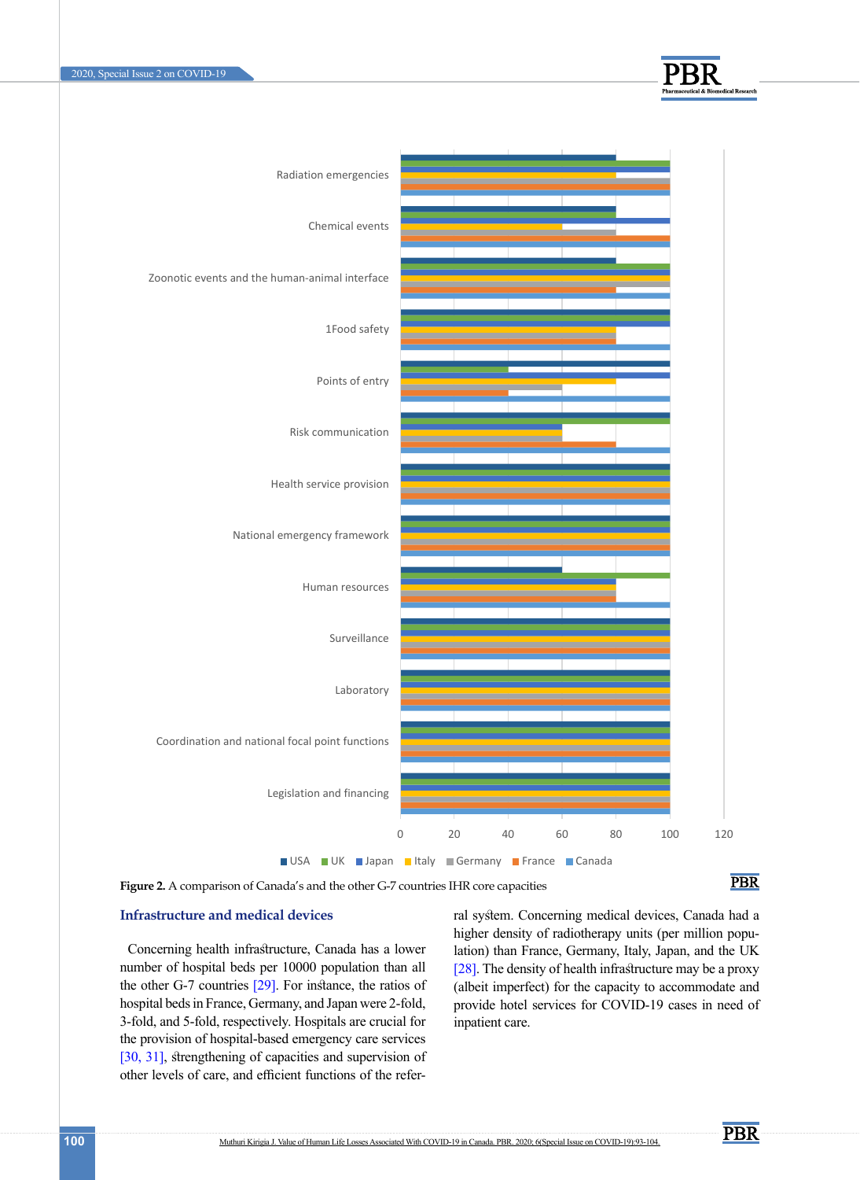



**Figure 2.** A comparison of Canada's and the other G-7 countries IHR core capacities

### **PBR**

## **Infrastructure and medical devices Example 2018** Tal sy

Concerning health infrastructure, Canada has a lower number of hospital beds per 10000 population than all [28]. The density of health infrastructure may be a the other G-7 countries [29]. For instance, the ratios of (albeit imperfect) for the capacity to accommoda hospital beds in France, Germany, and Japan were 2-fold, provide hotel services for COVID-19 cases in no 3-fold, and 5-fold, respectively. Hospitals are crucial for the provision of hospital-based emergency care services [30, 31], strengthening of capacities and supervision of other levels of care, and efficient functions of the refer-

ral system. Concerning medical devices, Canada had a higher density of radiotherapy units (per million population) than France, Germany, Italy, Japan, and the UK [28]. The density of health infrastructure may be a proxy (albeit imperfect) for the capacity to accommodate and provide hotel services for COVID-19 cases in need of inpatient care.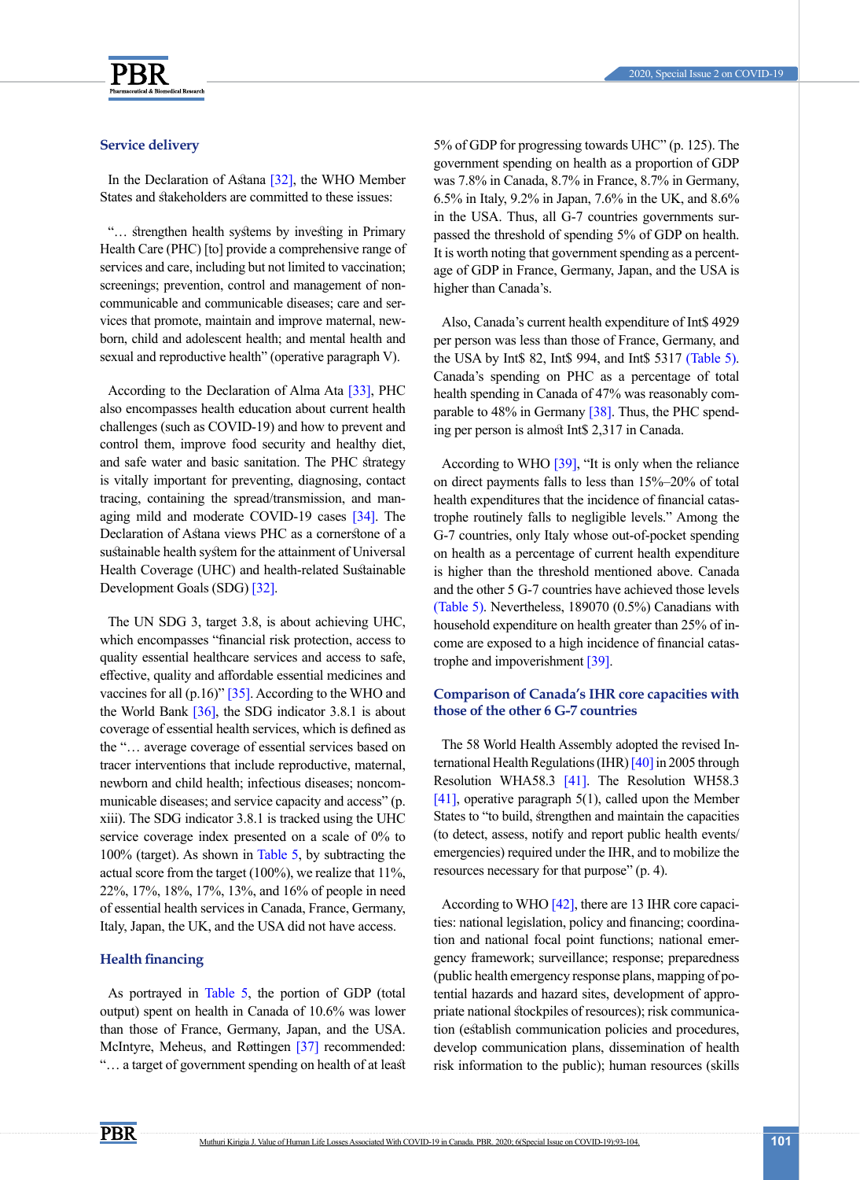

#### 2020, Special Issue 2 on COVID-19

### **Service delivery**

In the Declaration of Astana [32], the WHO Member States and stakeholders are committed to these issues:

"… strengthen health systems by investing in Primary Health Care (PHC) [to] provide a comprehensive range of services and care, including but not limited to vaccination; screenings; prevention, control and management of noncommunicable and communicable diseases; care and services that promote, maintain and improve maternal, newborn, child and adolescent health; and mental health and sexual and reproductive health" (operative paragraph V).

According to the Declaration of Alma Ata [33], PHC also encompasses health education about current health challenges (such as COVID-19) and how to prevent and control them, improve food security and healthy diet, and safe water and basic sanitation. The PHC strategy is vitally important for preventing, diagnosing, contact tracing, containing the spread/transmission, and managing mild and moderate COVID-19 cases [\[34\]](#page-11-0). The Declaration of Astana views PHC as a cornerstone of a sustainable health system for the attainment of Universal Health Coverage (UHC) and health-related Sustainable Development Goals (SDG) [32].

The UN SDG 3, target 3.8, is about achieving UHC, which encompasses "financial risk protection, access to quality essential healthcare services and access to safe, effective, quality and affordable essential medicines and vaccines for all  $(p.16)$ " [\[35\]](#page-11-1). According to the WHO and the World Bank  $[36]$ , the SDG indicator 3.8.1 is about coverage of essential health services, which is defined as the "… average coverage of essential services based on tracer interventions that include reproductive, maternal, newborn and child health; infectious diseases; noncommunicable diseases; and service capacity and access" (p. xiii). The SDG indicator 3.8.1 is tracked using the UHC service coverage index presented on a scale of 0% to 100% (target). As shown in [Table 5,](#page-6-0) by subtracting the actual score from the target (100%), we realize that 11%, 22%, 17%, 18%, 17%, 13%, and 16% of people in need of essential health services in Canada, France, Germany, Italy, Japan, the UK, and the USA did not have access.

### **Health financing**

As portrayed in [Table 5,](#page-6-0) the portion of GDP (total output) spent on health in Canada of 10.6% was lower than those of France, Germany, Japan, and the USA. McIntyre, Meheus, and Røttingen [37] recommended: "… a target of government spending on health of at least 5% of GDP for progressing towards UHC" (p. 125). The government spending on health as a proportion of GDP was 7.8% in Canada, 8.7% in France, 8.7% in Germany, 6.5% in Italy, 9.2% in Japan, 7.6% in the UK, and 8.6% in the USA. Thus, all G-7 countries governments surpassed the threshold of spending 5% of GDP on health. It is worth noting that government spending as a percentage of GDP in France, Germany, Japan, and the USA is higher than Canada's.

Also, Canada's current health expenditure of Int\$ 4929 per person was less than those of France, Germany, and the USA by Int\$ 82, Int\$ 994, and Int\$ 531[7 \(Table 5\)](#page-6-0). Canada's spending on PHC as a percentage of total health spending in Canada of 47% was reasonably comparable to 48% in Germany [38]. Thus, the PHC spending per person is almost Int\$ 2,317 in Canada.

According to WHO [39], "It is only when the reliance on direct payments falls to less than 15%–20% of total health expenditures that the incidence of financial catastrophe routinely falls to negligible levels." Among the G-7 countries, only Italy whose out-of-pocket spending on health as a percentage of current health expenditure is higher than the threshold mentioned above. Canada and the other 5 G-7 countries have achieved those levels [\(Table 5\).](#page-6-0) Nevertheless, 189070 (0.5%) Canadians with household expenditure on health greater than 25% of income are exposed to a high incidence of financial catastrophe and impoverishment [39].

### **Comparison of Canada's IHR core capacities with those of the other 6 G-7 countries**

The 58 World Health Assembly adopted the revised International Health Regulations (IHR) [40] in 2005 through Resolution WHA58.3 [41]. The Resolution WH58.3 [41], operative paragraph 5(1), called upon the Member States to "to build, strengthen and maintain the capacities (to detect, assess, notify and report public health events/ emergencies) required under the IHR, and to mobilize the resources necessary for that purpose" (p. 4).

According to WHO [42], there are 13 IHR core capacities: national legislation, policy and financing; coordination and national focal point functions; national emergency framework; surveillance; response; preparedness (public health emergency response plans, mapping of potential hazards and hazard sites, development of appropriate national stockpiles of resources); risk communication (establish communication policies and procedures, develop communication plans, dissemination of health risk information to the public); human resources (skills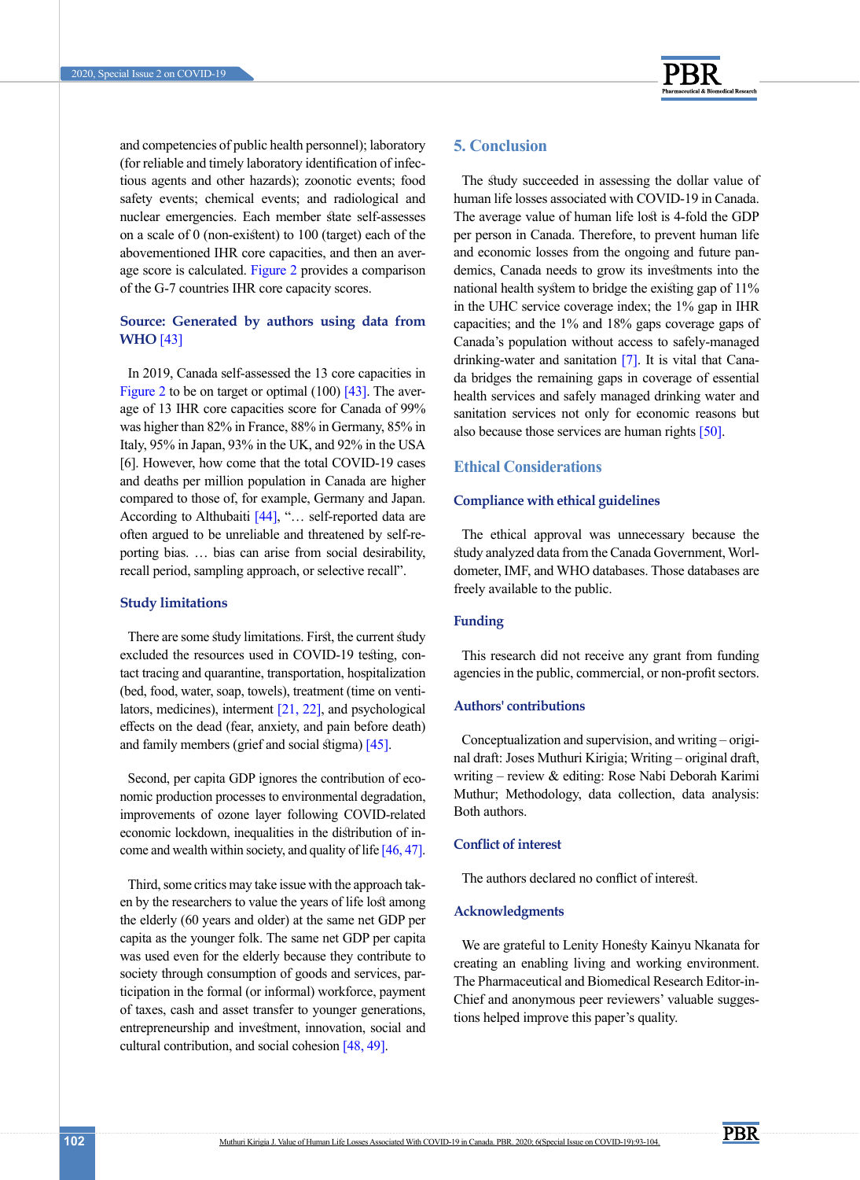

and competencies of public health personnel); laboratory (for reliable and timely laboratory identification of infectious agents and other hazards); zoonotic events; food safety events; chemical events; and radiological and nuclear emergencies. Each member state self-assesses on a scale of 0 (non-existent) to 100 (target) each of the abovementioned IHR core capacities, and then an average score is calculated. Figure 2 provides a comparison of the G-7 countries IHR core capacity scores.

### **Source: Generated by authors using data from WHO** [43]

In 2019, Canada self-assessed the 13 core capacities in Figure 2 to be on target or optimal (100) [43]. The average of 13 IHR core capacities score for Canada of 99% was higher than 82% in France, 88% in Germany, 85% in Italy, 95% in Japan, 93% in the UK, and 92% in the USA [6]. However, how come that the total COVID-19 cases and deaths per million population in Canada are higher compared to those of, for example, Germany and Japan. According to Althubaiti [\[44\]](#page-11-3), "... self-reported data are often argued to be unreliable and threatened by self-reporting bias. … bias can arise from social desirability, recall period, sampling approach, or selective recall".

### **Study limitations**

There are some study limitations. First, the current study excluded the resources used in COVID-19 testing, contact tracing and quarantine, transportation, hospitalization (bed, food, water, soap, towels), treatment (time on ventilators, medicines), interment  $[21, 22]$  $[21, 22]$  $[21, 22]$ , and psychological effects on the dead (fear, anxiety, and pain before death) and family members (grief and social stigma) [\[45\]](#page-11-4).

Second, per capita GDP ignores the contribution of economic production processes to environmental degradation, improvements of ozone layer following COVID-related economic lockdown, inequalities in the distribution of in-come and wealth within society, and quality of life [46, [47\]](#page-11-5).

Third, some critics may take issue with the approach taken by the researchers to value the years of life lost among the elderly (60 years and older) at the same net GDP per capita as the younger folk. The same net GDP per capita was used even for the elderly because they contribute to society through consumption of goods and services, participation in the formal (or informal) workforce, payment of taxes, cash and asset transfer to younger generations, entrepreneurship and investment, innovation, social and cultural contribution, and social cohesion [48, [49\]](#page-11-6).

### **5. Conclusion**

The study succeeded in assessing the dollar value of human life losses associated with COVID-19 in Canada. The average value of human life lost is 4-fold the GDP per person in Canada. Therefore, to prevent human life and economic losses from the ongoing and future pandemics, Canada needs to grow its investments into the national health system to bridge the existing gap of 11% in the UHC service coverage index; the 1% gap in IHR capacities; and the 1% and 18% gaps coverage gaps of Canada's population without access to safely-managed drinking-water and sanitation [7]. It is vital that Canada bridges the remaining gaps in coverage of essential health services and safely managed drinking water and sanitation services not only for economic reasons but also because those services are human rights [\[50\]](#page-11-1).

### **Ethical Considerations**

### **Compliance with ethical guidelines**

The ethical approval was unnecessary because the study analyzed data from the Canada Government, Worldometer, IMF, and WHO databases. Those databases are freely available to the public.

### **Funding**

This research did not receive any grant from funding agencies in the public, commercial, or non-profit sectors.

### **Authors' contributions**

Conceptualization and supervision, and writing – original draft: Joses Muthuri Kirigia; Writing – original draft, writing – review & editing: Rose Nabi Deborah Karimi Muthur; Methodology, data collection, data analysis: Both authors.

### **Conflict of interest**

The authors declared no conflict of interest.

### **Acknowledgments**

We are grateful to Lenity Honesty Kainyu Nkanata for creating an enabling living and working environment. The Pharmaceutical and Biomedical Research Editor-in-Chief and anonymous peer reviewers' valuable suggestions helped improve this paper's quality.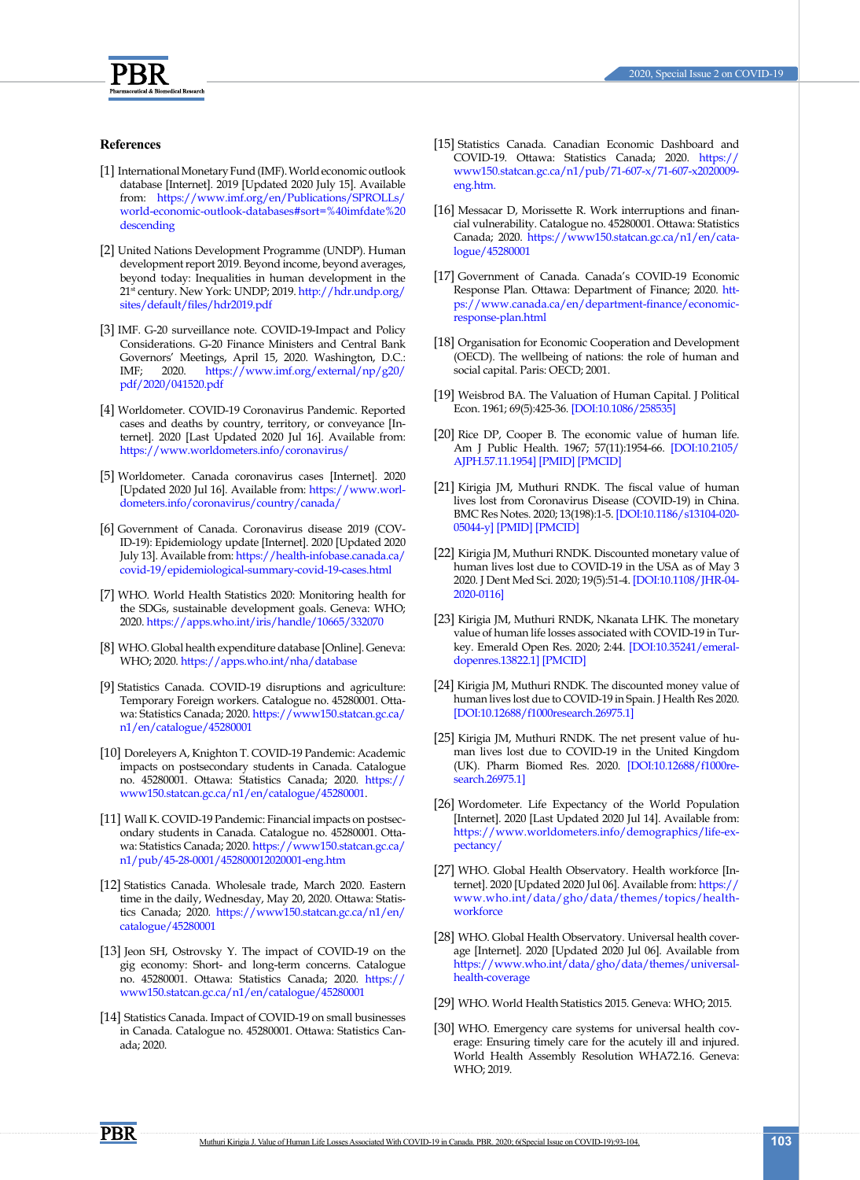

### **References**

- <span id="page-10-0"></span>[1] International Monetary Fund (IMF). World economic outlook database [Internet]. 2019 [Updated 2020 July 15]. Available from: [https://www.imf.org/en/Publications/SPROLLs/](https://www.imf.org/en/Publications/SPROLLs/world-economic-outlook-databases#sort=%40imfdate%20desce) [world-economic-outlook-databases#sort=%40imfdate%20](https://www.imf.org/en/Publications/SPROLLs/world-economic-outlook-databases#sort=%40imfdate%20desce) [descending](https://www.imf.org/en/Publications/SPROLLs/world-economic-outlook-databases#sort=%40imfdate%20desce)
- <span id="page-10-1"></span>[2] United Nations Development Programme (UNDP). Human development report 2019. Beyond income, beyond averages, beyond today: Inequalities in human development in the 21st century. New York: UNDP; 2019. [http://hdr.undp.org/](http://hdr.undp.org/sites/default/files/hdr2019.pdf ) [sites/default/files/hdr2019.pdf](http://hdr.undp.org/sites/default/files/hdr2019.pdf )
- <span id="page-10-2"></span>[3] IMF. G-20 surveillance note. COVID-19-Impact and Policy Considerations. G-20 Finance Ministers and Central Bank Governors' Meetings, April 15, 2020. Washington, D.C.:<br>IMF: 2020. https://www.imf.org/external/np/g20/ IMF; 2020. [https://www.imf.org/external/np/g20/](https://www.imf.org/external/np/g20/pdf/2020/041520.pdf) [pdf/2020/041520.pdf](https://www.imf.org/external/np/g20/pdf/2020/041520.pdf)
- [4] Worldometer. COVID-19 Coronavirus Pandemic. Reported cases and deaths by country, territory, or conveyance [Internet]. 2020 [Last Updated 2020 Jul 16]. Available from: <https://www.worldometers.info/coronavirus/>
- [5] Worldometer. Canada coronavirus cases [Internet]. 2020 [Updated 2020 Jul 16]. Available from: [https://www.worl](https://www.worldometers.info/coronavirus/country/canada/)[dometers.info/coronavirus/country/canada/](https://www.worldometers.info/coronavirus/country/canada/)
- <span id="page-10-3"></span>[6] Government of Canada. Coronavirus disease 2019 (COV-ID-19): Epidemiology update [Internet]. 2020 [Updated 2020 July 13]. Available from: [https://health-infobase.canada.ca/](https://health-infobase.canada.ca/covid-19/epidemiological-summary-covid-19-cases.html ) [covid-19/epidemiological-summary-covid-19-cases.html](https://health-infobase.canada.ca/covid-19/epidemiological-summary-covid-19-cases.html )
- [7] WHO. World Health Statistics 2020: Monitoring health for the SDGs, sustainable development goals. Geneva: WHO; 2020. [https://apps.who.int/iris/handle/10665/332070](https://apps.who.int/iris/handle/10665/332070 )
- [8] WHO. Global health expenditure database [Online]. Geneva: WHO; 2020. [https://apps.who.int/nha/database](https://apps.who.int/nha/database )
- <span id="page-10-4"></span>[9] Statistics Canada. COVID-19 disruptions and agriculture: Temporary Foreign workers. Catalogue no. 45280001. Ottawa: Statistics Canada; 2020. [https://www150.statcan.gc.ca/](https://www150.statcan.gc.ca/n1/en/catalogue/45280001) [n1/en/catalogue/45280001](https://www150.statcan.gc.ca/n1/en/catalogue/45280001)
- <span id="page-10-5"></span>[10] Doreleyers A, Knighton T. COVID-19 Pandemic: Academic impacts on postsecondary students in Canada. Catalogue no. 45280001. Ottawa: Statistics Canada; 2020. [https://](https://www150.statcan.gc.ca/n1/en/catalogue/45280001) [www150.statcan.gc.ca/n1/en/catalogue/45280001.](https://www150.statcan.gc.ca/n1/en/catalogue/45280001)
- [11] Wall K. COVID-19 Pandemic: Financial impacts on postsecondary students in Canada. Catalogue no. 45280001. Ottawa: Statistics Canada; 2020. [https://www150.statcan.gc.ca/](https://www150.statcan.gc.ca/n1/pub/45-28-0001/452800012020001-eng.htm) [n1/pub/45-28-0001/452800012020001-eng.htm](https://www150.statcan.gc.ca/n1/pub/45-28-0001/452800012020001-eng.htm)
- <span id="page-10-6"></span>[12] Statistics Canada. Wholesale trade, March 2020. Eastern time in the daily, Wednesday, May 20, 2020. Ottawa: Statistics Canada; 2020. [https://www150.statcan.gc.ca/n1/en/](https://www150.statcan.gc.ca/n1/en/catalogue/45280001) [catalogue/45280001](https://www150.statcan.gc.ca/n1/en/catalogue/45280001)
- <span id="page-10-7"></span>[13] Jeon SH, Ostrovsky Y. The impact of COVID-19 on the gig economy: Short- and long-term concerns. Catalogue no. 45280001. Ottawa: Statistics Canada; 2020. [https://](https://www150.statcan.gc.ca/n1/en/catalogue/45280001 ) [www150.statcan.gc.ca/n1/en/catalogue/45280001](https://www150.statcan.gc.ca/n1/en/catalogue/45280001 )
- <span id="page-10-8"></span>[14] Statistics Canada. Impact of COVID-19 on small businesses in Canada. Catalogue no. 45280001. Ottawa: Statistics Canada; 2020.
- <span id="page-10-9"></span>[15] Statistics Canada. Canadian Economic Dashboard and COVID-19. Ottawa: Statistics Canada; 2020. [https://](https://www150.statcan.gc.ca/n1/pub/71-607-x/71-607-x2020009-eng.htm.) [www150.statcan.gc.ca/n1/pub/71-607-x/71-607-x2020009](https://www150.statcan.gc.ca/n1/pub/71-607-x/71-607-x2020009-eng.htm.) [eng.htm.](https://www150.statcan.gc.ca/n1/pub/71-607-x/71-607-x2020009-eng.htm.)
- <span id="page-10-10"></span>[16] Messacar D, Morissette R. Work interruptions and financial vulnerability. Catalogue no. 45280001. Ottawa: Statistics Canada; 2020. [https://www150.statcan.gc.ca/n1/en/cata]( https://www150.statcan.gc.ca/n1/en/catalogue/45280001)[logue/45280001]( https://www150.statcan.gc.ca/n1/en/catalogue/45280001)
- [17] Government of Canada. Canada's COVID-19 Economic Response Plan. Ottawa: Department of Finance; 2020. [htt](https://www.canada.ca/en/department-finance/economic-response-plan.html)[ps://www.canada.ca/en/department-finance/economic](https://www.canada.ca/en/department-finance/economic-response-plan.html)[response-plan.html](https://www.canada.ca/en/department-finance/economic-response-plan.html)
- <span id="page-10-11"></span>[18] Organisation for Economic Cooperation and Development (OECD). The wellbeing of nations: the role of human and social capital. Paris: OECD; 2001.
- [19] Weisbrod BA. The Valuation of Human Capital. J Political Econ. 1961; 69(5):425-36. [[DOI:10.1086/258535\]](https://doi.org/10.1086/258535)
- [20] Rice DP, Cooper B. The economic value of human life. Am J Public Health. 1967; 57(11):1954-66. [\[DOI:10.2105/](https://doi.org/10.2105/AJPH.57.11.1954) [AJPH.57.11.1954\]](https://doi.org/10.2105/AJPH.57.11.1954) [[PMID](https://www.ncbi.nlm.nih.gov/pubmed/6069745)] [\[PMCID](http://www.ncbi.nlm.nih.gov/pmc/articles/PMC1227852)]
- <span id="page-10-12"></span>[21] Kirigia JM, Muthuri RNDK. The fiscal value of human lives lost from Coronavirus Disease (COVID-19) in China. BMC Res Notes. 2020; 13(198):1-5. [\[DOI:10.1186/s13104-020-](https://doi.org/10.1186/s13104-020-05044-y) [05044-y\]](https://doi.org/10.1186/s13104-020-05044-y) [[PMID](https://www.ncbi.nlm.nih.gov/pubmed/32238182)] [\[PMCID](http://www.ncbi.nlm.nih.gov/pmc/articles/PMC7110291)]
- <span id="page-10-14"></span>[22] Kirigia JM, Muthuri RNDK. Discounted monetary value of human lives lost due to COVID-19 in the USA as of May 3 2020. J Dent Med Sci. 2020; 19(5):51-4. [\[DOI:10.1108/JHR-04-](https://doi.org/10.1108/JHR-04-2020-0116) [2020-0116\]](https://doi.org/10.1108/JHR-04-2020-0116)
- <span id="page-10-16"></span>[23] Kirigia JM, Muthuri RNDK, Nkanata LHK. The monetary value of human life losses associated with COVID-19 in Turkey. Emerald Open Res. 2020; 2:44. [[DOI:10.35241/emeral](https://doi.org/10.35241/emeraldopenres.13822.1)[dopenres.13822.1](https://doi.org/10.35241/emeraldopenres.13822.1)] [\[PMCID](http://www.ncbi.nlm.nih.gov/pmc/articles/PMC7390608)]
- <span id="page-10-15"></span>[24] Kirigia JM, Muthuri RNDK. The discounted money value of human lives lost due to COVID-19 in Spain. J Health Res 2020. [\[DOI:10.12688/f1000research.26975.1](https://doi.org/10.12688/f1000research.26975.1)]
- <span id="page-10-13"></span>[25] Kirigia JM, Muthuri RNDK. The net present value of human lives lost due to COVID-19 in the United Kingdom (UK). Pharm Biomed Res. 2020. [\[DOI:10.12688/f1000re](https://doi.org/10.12688/f1000research.26975.1)[search.26975.1](https://doi.org/10.12688/f1000research.26975.1)]
- [26] Wordometer. Life Expectancy of the World Population [Internet]. 2020 [Last Updated 2020 Jul 14]. Available from: [https://www.worldometers.info/demographics/life-ex](https://www.worldometers.info/demographics/life-expectancy/)[pectancy/](https://www.worldometers.info/demographics/life-expectancy/)
- [27] WHO. Global Health Observatory. Health workforce [Internet]. 2020 [Updated 2020 Jul 06]. Available from: [https://](https://www.who.int/data/gho/data/themes/topics/health-workforce) [www.who.int/data/gho/data/themes/topics/health](https://www.who.int/data/gho/data/themes/topics/health-workforce)[workforce](https://www.who.int/data/gho/data/themes/topics/health-workforce)
- [28] WHO. Global Health Observatory. Universal health coverage [Internet]. 2020 [Updated 2020 Jul 06]. Available from [https://www.who.int/data/gho/data/themes/universal](https://www.who.int/data/gho/data/themes/universal-health-coverage)[health-coverage](https://www.who.int/data/gho/data/themes/universal-health-coverage)
- [29] WHO. World Health Statistics 2015. Geneva: WHO; 2015.
- [30] WHO. Emergency care systems for universal health coverage: Ensuring timely care for the acutely ill and injured. World Health Assembly Resolution WHA72.16. Geneva: WHO; 2019.